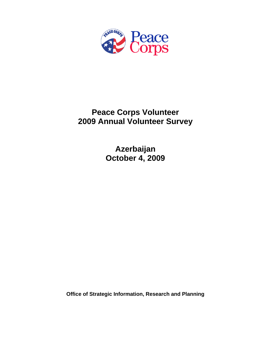

# **Peace Corps Volunteer 2009 Annual Volunteer Survey**

**Azerbaijan October 4, 2009** 

**Office of Strategic Information, Research and Planning**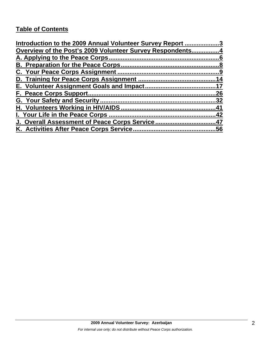# **Table of Contents**

| Introduction to the 2009 Annual Volunteer Survey Report 3 |     |
|-----------------------------------------------------------|-----|
| Overview of the Post's 2009 Volunteer Survey Respondents4 |     |
|                                                           |     |
|                                                           |     |
|                                                           |     |
|                                                           | 14  |
|                                                           |     |
|                                                           | 26  |
|                                                           | .32 |
|                                                           | 41  |
| I. Your Life in the Peace Corps.                          | .42 |
| J. Overall Assessment of Peace Corps Service47            |     |
| K. Activities After Peace Corps Service                   | .56 |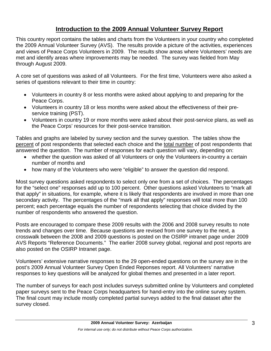# **Introduction to the 2009 Annual Volunteer Survey Report**

This country report contains the tables and charts from the Volunteers in your country who completed the 2009 Annual Volunteer Survey (AVS). The results provide a picture of the activities, experiences and views of Peace Corps Volunteers in 2009. The results show areas where Volunteers' needs are met and identify areas where improvements may be needed. The survey was fielded from May through August 2009.

A core set of questions was asked of all Volunteers. For the first time, Volunteers were also asked a series of questions relevant to their time in country:

- Volunteers in country 8 or less months were asked about applying to and preparing for the Peace Corps.
- Volunteers in country 18 or less months were asked about the effectiveness of their preservice training (PST).
- Volunteers in country 19 or more months were asked about their post-service plans, as well as the Peace Corps' resources for their post-service transition.

Tables and graphs are labeled by survey section and the survey question. The tables show the percent of post respondents that selected each choice and the total number of post respondents that answered the question. The number of responses for each question will vary, depending on:

- whether the question was asked of all Volunteers or only the Volunteers in-country a certain number of months and
- how many of the Volunteers who were "eligible" to answer the question did respond.

Most survey questions asked respondents to select only one from a set of choices. The percentages for the "select one" responses add up to 100 percent. Other questions asked Volunteers to "mark all that apply" in situations, for example, where it is likely that respondents are involved in more than one secondary activity. The percentages of the "mark all that apply" responses will total more than 100 percent; each percentage equals the number of respondents selecting that choice divided by the number of respondents who answered the question.

Posts are encouraged to compare these 2009 results with the 2006 and 2008 survey results to note trends and changes over time. Because questions are revised from one survey to the next, a crosswalk between the 2008 and 2009 questions is posted on the OSIRP intranet page under 2009 AVS Reports "Reference Documents." The earlier 2008 survey global, regional and post reports are also posted on the OSIRP Intranet page.

Volunteers' extensive narrative responses to the 29 open-ended questions on the survey are in the post's 2009 Annual Volunteer Survey Open Ended Reponses report. All Volunteers' narrative responses to key questions will be analyzed for global themes and presented in a later report.

The number of surveys for each post includes surveys submitted online by Volunteers and completed paper surveys sent to the Peace Corps headquarters for hand-entry into the online survey system. The final count may include mostly completed partial surveys added to the final dataset after the survey closed.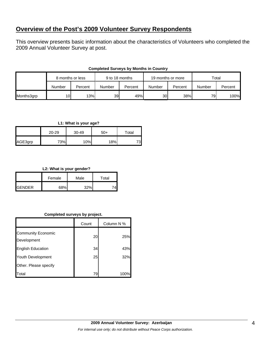# **Overview of the Post's 2009 Volunteer Survey Respondents**

This overview presents basic information about the characteristics of Volunteers who completed the 2009 Annual Volunteer Survey at post.

|            | 8 months or less |         | 9 to 18 months |         | 19 months or more |         | Total  |         |
|------------|------------------|---------|----------------|---------|-------------------|---------|--------|---------|
|            | Number           | Percent | Number         | Percent | Number            | Percent | Number | Percent |
| Months3grp | 10 <sup>1</sup>  | 13%     | 39             | 49%     | <b>30</b>         | 38%     | 79     | 100%    |

#### **Completed Surveys by Months in Country**

#### **L1: What is your age?**

|         | 20-29 | 30-49 | $50+$ | Total |
|---------|-------|-------|-------|-------|
| AGE3grp | 73%   | 10%   | 18%   | 73    |

#### **L2: What is your gender?**

|                | Female | Male | Total |
|----------------|--------|------|-------|
| <b>IGENDER</b> | 68%    | 320/ |       |

#### **Completed surveys by project.**

|                                          | Count | Column N % |
|------------------------------------------|-------|------------|
| <b>Community Economic</b><br>Development | 20    | 25%        |
| <b>English Education</b>                 | 34    | 43%        |
| Youth Development                        | 25    | 32%        |
| Other. Please specify                    |       |            |
| Total                                    | 79    | 100%       |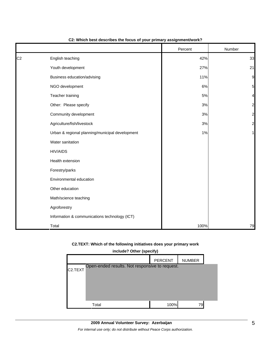|                |                                                 | Percent | Number                  |
|----------------|-------------------------------------------------|---------|-------------------------|
| C <sub>2</sub> | English teaching                                | 42%     | 33                      |
|                | Youth development                               | 27%     | 21                      |
|                | Business education/advising                     | 11%     | 9                       |
|                | NGO development                                 | 6%      | 5                       |
|                | Teacher training                                | 5%      | 4                       |
|                | Other: Please specify                           | $3%$    | $\overline{\mathbf{c}}$ |
|                | Community development                           | $3%$    | $\overline{\mathbf{c}}$ |
|                | Agriculture/fish/livestock                      | $3%$    | $\overline{a}$          |
|                | Urban & regional planning/municipal development | 1%      | 1                       |
|                | Water sanitation                                |         |                         |
|                | <b>HIV/AIDS</b>                                 |         |                         |
|                | Health extension                                |         |                         |
|                | Forestry/parks                                  |         |                         |
|                | Environmental education                         |         |                         |
|                | Other education                                 |         |                         |
|                | Math/science teaching                           |         |                         |
|                | Agroforestry                                    |         |                         |
|                | Information & communications technology (ICT)   |         |                         |
|                | Total                                           | 100%    | 79                      |

#### **C2: Which best describes the focus of your primary assignment/work?**

## **C2.TEXT: Which of the following initiatives does your primary work**

|                                                                        | include? Other (specify)        |      |     |  |  |  |  |  |  |  |
|------------------------------------------------------------------------|---------------------------------|------|-----|--|--|--|--|--|--|--|
|                                                                        | <b>PERCENT</b><br><b>NUMBER</b> |      |     |  |  |  |  |  |  |  |
| Open-ended results. Not responsive to request.<br>C <sub>2</sub> .TEXT |                                 |      |     |  |  |  |  |  |  |  |
|                                                                        |                                 |      |     |  |  |  |  |  |  |  |
|                                                                        |                                 |      |     |  |  |  |  |  |  |  |
|                                                                        |                                 |      |     |  |  |  |  |  |  |  |
|                                                                        | Total                           | 100% | 791 |  |  |  |  |  |  |  |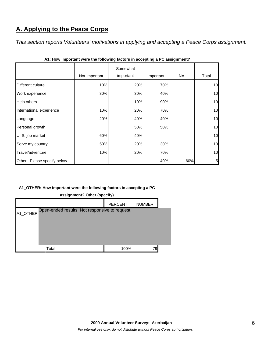# **A. Applying to the Peace Corps**

*This section reports Volunteers' motivations in applying and accepting a Peace Corps assignment.* 

|                             | Not Important | Somewhat<br>important | Important | NA. | Total |
|-----------------------------|---------------|-----------------------|-----------|-----|-------|
| Different culture           | 10%           | 20%                   | 70%       |     | 10    |
| Work experience             | 30%           | 30%                   | 40%       |     | 10    |
| Help others                 |               | 10%                   | 90%       |     | 10    |
| International experience    | 10%           | 20%                   | 70%       |     | 10    |
| Language                    | 20%           | 40%                   | 40%       |     | 10    |
| Personal growth             |               | 50%                   | 50%       |     | 10    |
| U. S. job market            | 60%           | 40%                   |           |     | 10    |
| Serve my country            | 50%           | 20%                   | 30%       |     | 10    |
| Travel/adventure            | 10%           | 20%                   | 70%       |     | 10    |
| Other: Please specify below |               |                       | 40%       | 60% | 5     |

## **A1\_OTHER: How important were the following factors in accepting a PC**

|          |                                                | PERCENT | <b>NUMBER</b> |  |
|----------|------------------------------------------------|---------|---------------|--|
| A1_OTHER | Open-ended results. Not responsive to request. |         |               |  |
|          | Total                                          | 100%    | 79            |  |

**assignment? Other (specify)**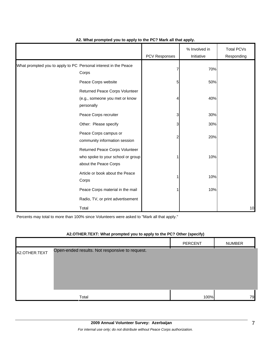|                                                                 |                                                                                              | PCV Responses | % Involved in<br>Initiative | <b>Total PCVs</b><br>Responding |
|-----------------------------------------------------------------|----------------------------------------------------------------------------------------------|---------------|-----------------------------|---------------------------------|
| What prompted you to apply to PC Personal interest in the Peace | Corps                                                                                        |               | 70%                         |                                 |
|                                                                 | Peace Corps website                                                                          | 5             | 50%                         |                                 |
|                                                                 | Returned Peace Corps Volunteer<br>(e.g., someone you met or know<br>personally               | 4             | 40%                         |                                 |
|                                                                 | Peace Corps recruiter                                                                        | 3             | 30%                         |                                 |
|                                                                 | Other: Please specify                                                                        | 3             | 30%                         |                                 |
|                                                                 | Peace Corps campus or<br>community information session                                       | 2             | 20%                         |                                 |
|                                                                 | Returned Peace Corps Volunteer<br>who spoke to your school or group<br>about the Peace Corps |               | 10%                         |                                 |
|                                                                 | Article or book about the Peace<br>Corps                                                     |               | 10%                         |                                 |
|                                                                 | Peace Corps material in the mail                                                             |               | 10%                         |                                 |
|                                                                 | Radio, TV, or print advertisement                                                            |               |                             |                                 |
|                                                                 | Total                                                                                        |               |                             | 10                              |

#### **A2. What prompted you to apply to the PC? Mark all that apply.**

Percents may total to more than 100% since Volunteers were asked to "Mark all that apply."

#### **A2.OTHER.TEXT: What prompted you to apply to the PC? Other (specify)**

|                                                                 | <b>PERCENT</b> | <b>NUMBER</b> |
|-----------------------------------------------------------------|----------------|---------------|
| Open-ended results. Not responsive to request.<br>A2.OTHER.TEXT |                |               |
| Total                                                           | 100%           | 79            |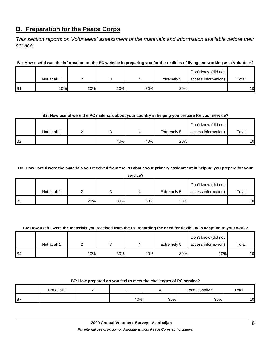# **B. Preparation for the Peace Corps**

*This section reports on Volunteers' assessment of the materials and information available before their service.* 

**B1: How useful was the information on the PC website in preparing you for the realities of living and working as a Volunteer?**

|                 |              |     |     |     |             | Don't know (did not |       |
|-----------------|--------------|-----|-----|-----|-------------|---------------------|-------|
|                 | Not at all 1 |     |     |     | Extremely 5 | access information) | Total |
| IB <sub>1</sub> | 10%          | 20% | 20% | 30% | 20%         |                     | 10    |

#### **B2: How useful were the PC materials about your country in helping you prepare for your service?**

|                |              |     |     |             | Don't know (did not |       |
|----------------|--------------|-----|-----|-------------|---------------------|-------|
|                | Not at all 1 |     |     | Extremely 5 | access information) | Total |
| B <sub>2</sub> |              | 40% | 40% | 20%         |                     | 10    |

#### **B3: How useful were the materials you received from the PC about your primary assignment in helping you prepare for your**

|                | service?     |     |     |     |             |                     |       |  |  |
|----------------|--------------|-----|-----|-----|-------------|---------------------|-------|--|--|
|                |              |     |     |     |             | Don't know (did not |       |  |  |
|                | Not at all 1 |     |     |     | Extremely 5 | access information) | Total |  |  |
| B <sub>3</sub> |              | 20% | 30% | 30% | 20%         |                     | 10    |  |  |

#### **B4: How useful were the materials you received from the PC regarding the need for flexibility in adapting to your work?**

|                |              |     |     |     |             | Don't know (did not |       |
|----------------|--------------|-----|-----|-----|-------------|---------------------|-------|
|                | Not at all 1 |     |     |     | Extremely 5 | access information) | Total |
| B <sub>4</sub> |              | 10% | 30% | 20% | 30%         | 10%                 | 10    |

#### **B7: How prepared do you feel to meet the challenges of PC service?**

|          | Not at all 1 |     |     | Exceptionally 5 | Total |
|----------|--------------|-----|-----|-----------------|-------|
| <b>B</b> |              | 40% | 30% | 30%             | 10    |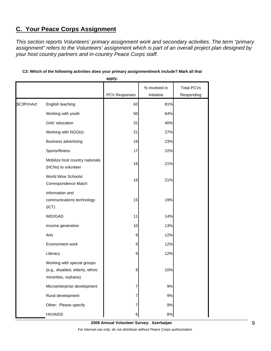# **C. Your Peace Corps Assignment**

*This section reports Volunteers' primary assignment work and secondary activities. The term "primary assignment" refers to the Volunteers' assignment which is part of an overall project plan designed by your host country partners and in-country Peace Corps staff.* 

|            |                                                                                         | apply.               |               |                   |
|------------|-----------------------------------------------------------------------------------------|----------------------|---------------|-------------------|
|            |                                                                                         |                      | % Involved in | <b>Total PCVs</b> |
|            |                                                                                         | <b>PCV Responses</b> | Initiative    | Responding        |
| \$C3PrmAct | English teaching                                                                        | 63                   | 81%           |                   |
|            | Working with youth                                                                      | 50                   | 64%           |                   |
|            | Girls' education                                                                        | 31                   | 40%           |                   |
|            | Working with NGO(s)                                                                     | 21                   | 27%           |                   |
|            | <b>Business advertising</b>                                                             | 18                   | 23%           |                   |
|            | Sports/fitness                                                                          | 17                   | 22%           |                   |
|            | Mobilize host country nationals<br>(HCNs) to volunteer                                  | 16                   | 21%           |                   |
|            | World Wise Schools/<br>Correspondence Match                                             | 16                   | 21%           |                   |
|            | Information and<br>communications technology<br>(ICT)                                   | 15                   | 19%           |                   |
|            | WID/GAD                                                                                 | 11                   | 14%           |                   |
|            | Income generation                                                                       | 10                   | 13%           |                   |
|            | Arts                                                                                    | 9                    | 12%           |                   |
|            | Environment work                                                                        | 9                    | 12%           |                   |
|            | Literacy                                                                                | 9                    | 12%           |                   |
|            | Working with special groups<br>(e.g., disabled, elderly, ethnic<br>minorities, orphans) | 8                    | 10%           |                   |
|            | Microenterprise development                                                             | 7                    | 9%            |                   |
|            | Rural development                                                                       | 7                    | 9%            |                   |
|            | Other: Please specify                                                                   | 7                    | 9%            |                   |
|            | <b>HIV/AIDS</b>                                                                         | 6                    | 8%            |                   |

#### **C3: Which of the following activities does your primary assignment/work include? Mark all that**

**2009 Annual Volunteer Survey: Azerbaijan**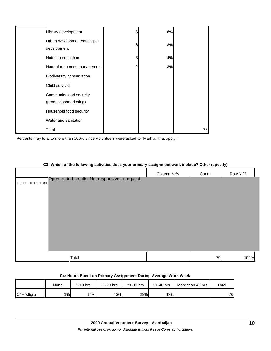| Library development                               | 6 | 8% |    |
|---------------------------------------------------|---|----|----|
| Urban development/municipal<br>development        | 6 | 8% |    |
| Nutrition education                               | 3 | 4% |    |
| Natural resources management                      | 2 | 3% |    |
| Biodiversity conservation                         |   |    |    |
| Child survival                                    |   |    |    |
| Community food security<br>(production/marketing) |   |    |    |
| Household food security                           |   |    |    |
| Water and sanitation                              |   |    |    |
| Total                                             |   |    | 78 |

Percents may total to more than 100% since Volunteers were asked to "Mark all that apply."

## **C3: Which of the following activities does your primary assignment/work include? Other (specify)**

|                                                                 | Column N % | Count | Row N % |
|-----------------------------------------------------------------|------------|-------|---------|
| Open-ended results. Not responsive to request.<br>C3.OTHER.TEXT |            |       |         |
|                                                                 |            |       |         |
|                                                                 |            |       |         |
|                                                                 |            |       |         |
|                                                                 |            |       |         |
|                                                                 |            |       |         |
|                                                                 |            |       |         |
|                                                                 |            |       |         |
|                                                                 |            |       |         |
|                                                                 |            |       |         |
| Total                                                           |            | 79    | 100%    |

#### **C4: Hours Spent on Primary Assignment During Average Work Week**

|           | None  | $1-10$ hrs | 11-20 hrs | 21-30 hrs | 31-40 hrs | More than 40 hrs | Total |
|-----------|-------|------------|-----------|-----------|-----------|------------------|-------|
| C4Hrs6grp | $1\%$ | 14%        | 43%       | 28%       | 13%       |                  | 76    |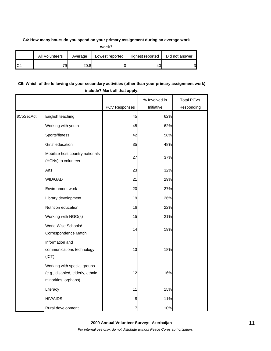#### **C4: How many hours do you spend on your primary assignment during an average work**

| week? |                 |         |                 |                  |                |  |
|-------|-----------------|---------|-----------------|------------------|----------------|--|
|       | All Volunteers  | Average | Lowest reported | Highest reported | Did not answer |  |
|       | 79 <sub>1</sub> | 20.8    |                 | 401              | ົ              |  |

## **C5: Which of the following do your secondary activities (other than your primary assignment work) include? Mark all that apply.**

|            |                                                                                         | PCV Responses | % Involved in<br>Initiative | <b>Total PCVs</b><br>Responding |
|------------|-----------------------------------------------------------------------------------------|---------------|-----------------------------|---------------------------------|
| \$C5SecAct | English teaching                                                                        | 45            | 62%                         |                                 |
|            | Working with youth                                                                      | 45            | 62%                         |                                 |
|            | Sports/fitness                                                                          | 42            | 58%                         |                                 |
|            | Girls' education                                                                        | 35            | 48%                         |                                 |
|            | Mobilize host country nationals<br>(HCNs) to volunteer                                  | 27            | 37%                         |                                 |
|            | Arts                                                                                    | 23            | 32%                         |                                 |
|            | WID/GAD                                                                                 | 21            | 29%                         |                                 |
|            | Environment work                                                                        | 20            | 27%                         |                                 |
|            | Library development                                                                     | 19            | 26%                         |                                 |
|            | Nutrition education                                                                     | 16            | 22%                         |                                 |
|            | Working with NGO(s)                                                                     | 15            | 21%                         |                                 |
|            | World Wise Schools/<br>Correspondence Match                                             | 14            | 19%                         |                                 |
|            | Information and<br>communications technology<br>(ICT)                                   | 13            | 18%                         |                                 |
|            | Working with special groups<br>(e.g., disabled, elderly, ethnic<br>minorities, orphans) | 12            | 16%                         |                                 |
|            | Literacy                                                                                | 11            | 15%                         |                                 |
|            | <b>HIV/AIDS</b>                                                                         | 8             | 11%                         |                                 |
|            | Rural development                                                                       |               | 10%                         |                                 |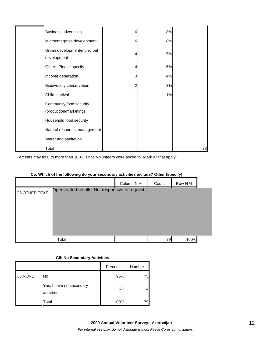| <b>Business advertising</b>                       | 6 | 8% |    |
|---------------------------------------------------|---|----|----|
| Microenterprise development                       | 6 | 8% |    |
| Urban development/municipal<br>development        | 4 | 5% |    |
| Other: Please specify                             | 4 | 5% |    |
| Income generation                                 | 3 | 4% |    |
| Biodiversity conservation                         | 2 | 3% |    |
| Child survival                                    |   | 1% |    |
| Community food security<br>(production/marketing) |   |    |    |
| Household food security                           |   |    |    |
| Natural resources management                      |   |    |    |
| Water and sanitation                              |   |    |    |
| Total                                             |   |    | 73 |

Percents may total to more than 100% since Volunteers were asked to "Mark all that apply."

## **C5: Which of the following do your secondary activities include? Other (specify)**

|               |                                                |         |      | Column N % | Count          | Row N% |  |
|---------------|------------------------------------------------|---------|------|------------|----------------|--------|--|
| C5.OTHER.TEXT | Open-ended results. Not responsive to request. |         |      |            |                |        |  |
|               |                                                |         |      |            |                |        |  |
|               | Total                                          |         |      |            | 79             | 100%   |  |
|               | <b>C5: No Secondary Activities</b>             |         |      |            |                |        |  |
|               |                                                | Percent |      | Number     |                |        |  |
| C5.NONE       | No                                             |         | 95%  | 75         |                |        |  |
|               | Yes, I have no secondary<br>activities         |         | 5%   |            | $\overline{4}$ |        |  |
|               | Total                                          |         | 100% | 79         |                |        |  |

#### **C5: No Secondary Activities**

|         |                                        | Percent | Number |
|---------|----------------------------------------|---------|--------|
| C5.NONE | No                                     | 95%     | 75     |
|         | Yes, I have no secondary<br>activities | 5%      |        |
|         | Total                                  | 100%    | 79     |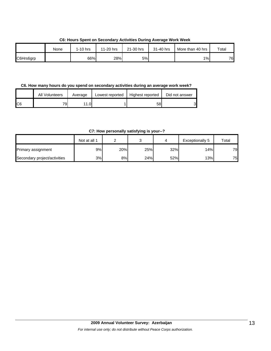**C6: Hours Spent on Secondary Activities During Average Work Week**

|           | None | $1-10$ hrs | 11-20 hrs | 21-30 hrs | 31-40 hrs | More than 40 hrs | Total |
|-----------|------|------------|-----------|-----------|-----------|------------------|-------|
| C6Hrs6grp |      | 66%        | 28%       | 5%        |           | $1\%$            | 76    |

**C6. How many hours do you spend on secondary activities during an average work week?**

|     | All Volunteers | Average | Lowest reported | Highest reported | Did not answer |
|-----|----------------|---------|-----------------|------------------|----------------|
| IC6 | 70.            | 0۱. ،   |                 | 58               | ി              |

**C7: How personally satisfying is your--?**

|                              | Not at all 1 |     |     |     | Exceptionally 5 | Total |
|------------------------------|--------------|-----|-----|-----|-----------------|-------|
| Primary assignment           | 9%           | 20% | 25% | 32% | 14%             | 79    |
| Secondary project/activities | 3%           | 8%l | 24% | 52% | 13%             | 75    |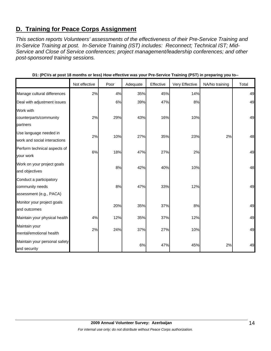# **D. Training for Peace Corps Assignment**

*This section reports Volunteers' assessments of the effectiveness of their Pre-Service Training and In-Service Training at post. In-Service Training (IST) includes: Reconnect; Technical IST; Mid-Service and Close of Service conferences; project management/leadership conferences; and other post-sponsored training sessions.* 

|                               |               |      |          |           | ັ່             | . .            |       |
|-------------------------------|---------------|------|----------|-----------|----------------|----------------|-------|
|                               | Not effective | Poor | Adequate | Effective | Very Effective | NA/No training | Total |
| Manage cultural differences   | 2%            | 4%   | 35%      | 45%       | 14%            |                | 49    |
| Deal with adjustment issues   |               | 6%   | 39%      | 47%       | 8%             |                | 49    |
| Work with                     |               |      |          |           |                |                |       |
| counterparts/community        | 2%            | 29%  | 43%      | 16%       | 10%            |                | 49    |
| partners                      |               |      |          |           |                |                |       |
| Use language needed in        | 2%            | 10%  | 27%      | 35%       | 23%            | 2%             | 48    |
| work and social interactions  |               |      |          |           |                |                |       |
| Perform technical aspects of  | 6%            | 18%  | 47%      | 27%       | 2%             |                | 49    |
| your work                     |               |      |          |           |                |                |       |
| Work on your project goals    |               | 8%   | 42%      | 40%       | 10%            |                | 48    |
| and objectives                |               |      |          |           |                |                |       |
| Conduct a participatory       |               |      |          |           |                |                |       |
| community needs               |               | 8%   | 47%      | 33%       | 12%            |                | 49    |
| assessment (e.g., PACA)       |               |      |          |           |                |                |       |
| Monitor your project goals    |               | 20%  | 35%      | 37%       | 8%             |                | 49    |
| and outcomes                  |               |      |          |           |                |                |       |
| Maintain your physical health | 4%            | 12%  | 35%      | 37%       | 12%            |                | 49    |
| Maintain your                 |               |      |          |           |                |                |       |
| mental/emotional health       | 2%            | 24%  | 37%      | 27%       | 10%            |                | 49    |
| Maintain your personal safety |               |      |          |           |                |                |       |
| and security                  |               |      | 6%       | 47%       | 45%            | 2%             | 49    |

**D1: (PCVs at post 18 months or less) How effective was your Pre-Service Training (PST) in preparing you to--**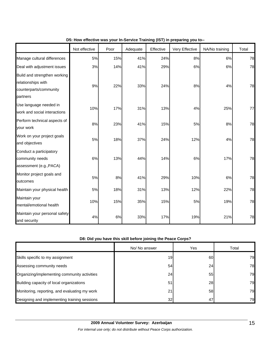|                                                                                          | Not effective | Poor | Adequate | Effective | Very Effective | NA/No training | Total |
|------------------------------------------------------------------------------------------|---------------|------|----------|-----------|----------------|----------------|-------|
| Manage cultural differences                                                              | 5%            | 15%  | 41%      | 24%       | 8%             | 6%             | 78    |
| Deal with adjustment issues                                                              | 3%            | 14%  | 41%      | 29%       | 6%             | 6%             | 78    |
| Build and strengthen working<br>relationships with<br>counterparts/community<br>partners | 9%            | 22%  | 33%      | 24%       | 8%             | 4%             | 78    |
| Use language needed in<br>work and social interactions                                   | 10%           | 17%  | 31%      | 13%       | 4%             | 25%            | 77    |
| Perform technical aspects of<br>your work                                                | 8%            | 23%  | 41%      | 15%       | 5%             | 8%             | 78    |
| Work on your project goals<br>and objectives                                             | 5%            | 18%  | 37%      | 24%       | 12%            | 4%             | 78    |
| Conduct a participatory<br>community needs<br>assessment (e.g., PACA)                    | 6%            | 13%  | 44%      | 14%       | 6%             | 17%            | 78    |
| Monitor project goals and<br>outcomes                                                    | 5%            | 8%   | 41%      | 29%       | 10%            | 6%             | 78    |
| Maintain your physical health                                                            | 5%            | 18%  | 31%      | 13%       | 12%            | 22%            | 78    |
| Maintain your<br>mental/emotional health                                                 | 10%           | 15%  | 35%      | 15%       | 5%             | 19%            | 78    |
| Maintain your personal safety<br>and security                                            | 4%            | 6%   | 33%      | 17%       | 19%            | 21%            | 78    |

#### **D5: How effective was your In-Service Training (IST) in preparing you to--**

## **D8: Did you have this skill before joining the Peace Corps?**

|                                               | No/ No answer | Yes       | Total |
|-----------------------------------------------|---------------|-----------|-------|
| Skills specific to my assignment              | 19            | 60        | 79    |
| Assessing community needs                     | 54            | 24        | 78    |
| Organizing/implementing community activities  | 24            | 551       | 79    |
| Building capacity of local organizations      | 51            | <b>28</b> | 79    |
| Monitoring, reporting, and evaluating my work | 21            | 58        | 79    |
| Designing and implementing training sessions  | 32            | 47        | 79    |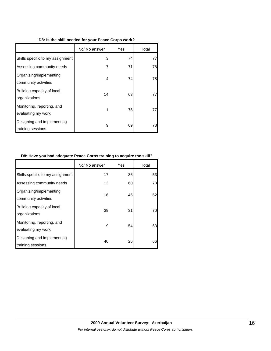#### **D8: Is the skill needed for your Peace Corps work?**

|                                                  | No/ No answer | Yes | Total |
|--------------------------------------------------|---------------|-----|-------|
| Skills specific to my assignment                 | 3             | 74  | 77    |
| Assessing community needs                        | 7             | 71  | 78    |
| Organizing/implementing<br>community activities  | 4             | 74  | 78    |
| Building capacity of local<br>organizations      | 14            | 63  | 77    |
| Monitoring, reporting, and<br>evaluating my work | 1             | 76  | 771   |
| Designing and implementing<br>training sessions  | 9             | 69  | 78    |

#### **D8: Have you had adequate Peace Corps training to acquire the skill?**

|                                                  | No/ No answer | Yes | Total |
|--------------------------------------------------|---------------|-----|-------|
| Skills specific to my assignment                 | 17            | 36  | 53    |
| Assessing community needs                        | 13            | 60  | 73    |
| Organizing/implementing<br>community activities  | 16            | 46  | 62    |
| Building capacity of local<br>organizations      | 39            | 31  | 70    |
| Monitoring, reporting, and<br>evaluating my work | 9             | 54  | 63    |
| Designing and implementing<br>training sessions  | 40            | 26  | 66    |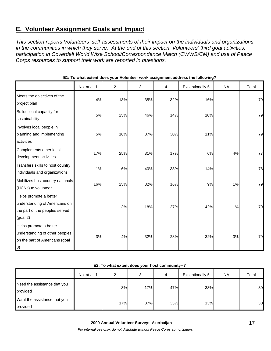# **E. Volunteer Assignment Goals and Impact**

*This section reports Volunteers' self-assessments of their impact on the individuals and organizations in the communities in which they serve. At the end of this section, Volunteers' third goal activities, participation in Coverdell World Wise School/Correspondence Match (CWWS/CM) and use of Peace Corps resources to support their work are reported in questions.* 

|                                                                                                          | Not at all 1 | $\overline{2}$ | 3   | 4   | <b>Exceptionally 5</b> | <b>NA</b> | Total |
|----------------------------------------------------------------------------------------------------------|--------------|----------------|-----|-----|------------------------|-----------|-------|
| Meets the objectives of the<br>project plan                                                              | 4%           | 13%            | 35% | 32% | 16%                    |           | 79    |
| Builds local capacity for<br>sustainability                                                              | 5%           | 25%            | 46% | 14% | 10%                    |           | 79    |
| Involves local people in<br>planning and implementing<br>activities                                      | 5%           | 16%            | 37% | 30% | 11%                    |           | 79    |
| Complements other local<br>development activities                                                        | 17%          | 25%            | 31% | 17% | 6%                     | 4%        | 77    |
| Transfers skills to host country<br>individuals and organizations                                        | 1%           | 6%             | 40% | 38% | 14%                    |           | 78    |
| Mobilizes host country nationals<br>(HCNs) to volunteer                                                  | 16%          | 25%            | 32% | 16% | 9%                     | 1%        | 79    |
| Helps promote a better<br>understanding of Americans on<br>the part of the peoples served<br>$(g$ oal 2) |              | 3%             | 18% | 37% | 42%                    | 1%        | 79    |
| Helps promote a better<br>understanding of other peoples<br>on the part of Americans (goal<br> 3)        | 3%           | 4%             | 32% | 28% | 32%                    | 3%        | 79    |

#### **E1: To what extent does your Volunteer work assignment address the following?**

#### **E2: To what extent does your host community--?**

|                                          | Not at all 1 | っ   |     | 4   | Exceptionally 5 | NA. | Total |
|------------------------------------------|--------------|-----|-----|-----|-----------------|-----|-------|
| Need the assistance that you<br>provided |              | 3%  | 17% | 47% | 33%             |     | 30    |
| Want the assistance that you<br>provided |              | 17% | 37% | 33% | 13%             |     | 30    |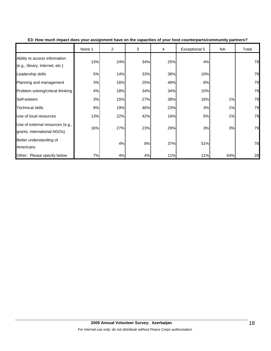|                                                                  | None 1 | $\overline{2}$ | 3   | 4   | Exceptional 5 | <b>NA</b> | Total |
|------------------------------------------------------------------|--------|----------------|-----|-----|---------------|-----------|-------|
| Ability to access information<br>(e.g., library, Internet, etc.) | 13%    | 24%            | 34% | 25% | 4%            |           | 79    |
| Leadership skills                                                | 5%     | 14%            | 33% | 38% | 10%           |           | 79    |
| Planning and management                                          | 3%     | 16%            | 25% | 48% | 8%            |           | 79    |
| Problem solving/critical thinking                                | 4%     | 18%            | 34% | 34% | 10%           |           | 79    |
| Self-esteem                                                      | 3%     | 15%            | 27% | 38% | 16%           | 1%        | 79    |
| <b>Technical skills</b>                                          | 9%     | 19%            | 46% | 23% | 3%            | 1%        | 79    |
| Use of local resources                                           | 13%    | 22%            | 42% | 16% | 6%            | 1%        | 79    |
| Use of external resources (e.g.,<br>grants, international NGOs)  | 16%    | 27%            | 23% | 29% | 3%            | 3%        | 79    |
| Better understanding of<br>Americans                             |        | 4%             | 8%  | 37% | 51%           |           | 78    |
| Other: Please specify below                                      | 7%     | 4%             | 4%  | 11% | 11%           | 64%       | 28    |

**E3: How much impact does your assignment have on the capacities of your host counterparts/community partners?**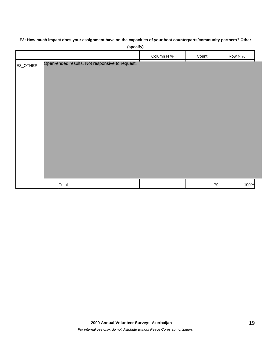## **E3: How much impact does your assignment have on the capacities of your host counterparts/community partners? Other**

|          | (specify)                                           |            |       |         |
|----------|-----------------------------------------------------|------------|-------|---------|
|          |                                                     | Column N % | Count | Row N % |
| E3_OTHER | T<br>Open-ended results. Not responsive to request. | ┬          |       |         |
|          |                                                     |            |       |         |
|          |                                                     |            |       |         |
|          |                                                     |            |       |         |
|          |                                                     |            |       |         |
|          |                                                     |            |       |         |
|          |                                                     |            |       |         |
|          |                                                     |            |       |         |
|          |                                                     |            |       |         |
|          |                                                     |            |       |         |
|          |                                                     |            |       |         |
|          |                                                     |            |       |         |
|          | Total                                               |            | 79    | 100%    |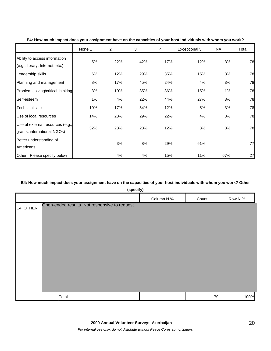|                                                                  | None 1 | $\overline{2}$ | 3   | 4   | Exceptional 5 | <b>NA</b> | Total |
|------------------------------------------------------------------|--------|----------------|-----|-----|---------------|-----------|-------|
| Ability to access information<br>(e.g., library, Internet, etc.) | 5%     | 22%            | 42% | 17% | 12%           | 3%        | 78    |
| Leadership skills                                                | 6%     | 12%            | 29% | 35% | 15%           | 3%        | 78    |
| Planning and management                                          | 8%     | 17%            | 45% | 24% | 4%            | 3%        | 78    |
| Problem solving/critical thinking                                | 3%     | 10%            | 35% | 36% | 15%           | 1%        | 78    |
| Self-esteem                                                      | 1%     | 4%             | 22% | 44% | 27%           | 3%        | 78    |
| <b>Technical skills</b>                                          | 10%    | 17%            | 54% | 12% | 5%            | 3%        | 78    |
| Use of local resources                                           | 14%    | 28%            | 29% | 22% | 4%            | 3%        | 78    |
| Use of external resources (e.g.,<br>grants, international NGOs)  | 32%    | 28%            | 23% | 12% | 3%            | 3%        | 78    |
| Better understanding of<br>Americans                             |        | 3%             | 8%  | 29% | 61%           |           | 77    |
| Other: Please specify below                                      |        | 4%             | 4%  | 15% | 11%           | 67%       | 27    |

#### **E4: How much impact does your assignment have on the capacities of your host individuals with whom you work?**

#### **E4: How much impact does your assignment have on the capacities of your host individuals with whom you work? Other**

|          | (specify)                                      |            |       |         |
|----------|------------------------------------------------|------------|-------|---------|
|          |                                                | Column N % | Count | Row N % |
| E4_OTHER | Open-ended results. Not responsive to request. |            |       |         |
|          | Total                                          |            | 79    | 100%    |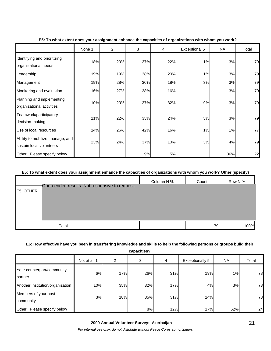|                                                              | None 1 | $\overline{2}$ | 3   | 4   | Exceptional 5 | <b>NA</b> | Total |
|--------------------------------------------------------------|--------|----------------|-----|-----|---------------|-----------|-------|
| Identifying and prioritizing<br>organizational needs         | 18%    | 20%            | 37% | 22% | 1%            | 3%        | 79    |
| Leadership                                                   | 19%    | 19%            | 38% | 20% | 1%            | 3%        | 79    |
| Management                                                   | 19%    | 28%            | 30% | 18% | 3%            | 3%        | 79    |
| Monitoring and evaluation                                    | 16%    | 27%            | 38% | 16% |               | 3%        | 79    |
| Planning and implementing<br>organizational activities       | 10%    | 20%            | 27% | 32% | 9%            | 3%        | 79    |
| Teamwork/participatory<br>decision-making                    | 11%    | 22%            | 35% | 24% | 5%            | 3%        | 79    |
| Use of local resources                                       | 14%    | 26%            | 42% | 16% | 1%            | 1%        | 77    |
| Ability to mobilize, manage, and<br>sustain local volunteers | 23%    | 24%            | 37% | 10% | 3%            | 4%        | 79    |
| Other: Please specify below                                  |        |                | 9%  | 5%  |               | 86%       | 22    |

#### **E5: To what extent does your assignment enhance the capacities of organizations with whom you work?**

#### **E5: To what extent does your assignment enhance the capacities of organizations with whom you work? Other (specify)**

|          |                                                | Column N % | Count | Row N % |
|----------|------------------------------------------------|------------|-------|---------|
| E5_OTHER | Open-ended results. Not responsive to request. |            |       |         |
|          |                                                |            |       |         |
|          |                                                |            |       |         |
|          |                                                |            |       |         |
|          |                                                |            |       |         |
|          | Total                                          |            | 79    | 100%    |

#### **E6: How effective have you been in transferring knowledge and skills to help the following persons or groups build their**

**capacities?**

| ---------                             |              |     |     |     |                        |           |       |  |
|---------------------------------------|--------------|-----|-----|-----|------------------------|-----------|-------|--|
|                                       | Not at all 1 | 2   | 3   | 4   | <b>Exceptionally 5</b> | <b>NA</b> | Total |  |
| Your counterpart/community<br>partner | 6%           | 17% | 26% | 31% | 19%                    | $1\%$     | 78    |  |
| Another institution/organization      | 10%          | 35% | 32% | 17% | 4%                     | 3%        | 78    |  |
| Members of your host<br>community     | 3%           | 18% | 35% | 31% | 14%                    |           | 78    |  |
| Other: Please specify below           |              |     | 8%  | 12% | 17%                    | 62%       | 24    |  |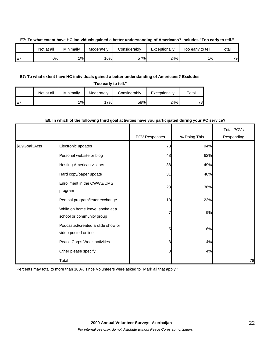|     | Not at all | Minimally | Moderatelv | <b>Considerably</b> | Exceptionally | -<br>Too early to tell | Total |
|-----|------------|-----------|------------|---------------------|---------------|------------------------|-------|
| IE7 | 0%         | 1%        | 16%        | 57%                 | 24%           | $1\%$                  | 79    |

#### **E7: To what extent have HC individuals gained a better understanding of Americans? Includes "Too early to tell."**

#### **E7: To what extent have HC individuals gained a better understanding of Americans? Excludes**

| "Too early to tell." |            |           |            |              |               |       |  |  |
|----------------------|------------|-----------|------------|--------------|---------------|-------|--|--|
|                      | Not at all | Minimally | Moderately | Considerably | Exceptionally | ⊤otal |  |  |
| IE <sub>7</sub>      |            | 1%        | 17%        | 58%          | 24%           | 78    |  |  |

#### **E9. In which of the following third goal activities have you participated during your PC service?**

|               |                                                              | PCV Responses | % Doing This | <b>Total PCVs</b><br>Responding |
|---------------|--------------------------------------------------------------|---------------|--------------|---------------------------------|
| \$E9Goal3Acts | Electronic updates                                           | 73            | 94%          |                                 |
|               | Personal website or blog                                     | 48            | 62%          |                                 |
|               | Hosting American visitors                                    | 38            | 49%          |                                 |
|               | Hard copy/paper update                                       | 31            | 40%          |                                 |
|               | Enrollment in the CWWS/CMS<br>program                        | 28            | 36%          |                                 |
|               | Pen pal program/letter exchange                              | 18            | 23%          |                                 |
|               | While on home leave, spoke at a<br>school or community group | 7             | 9%           |                                 |
|               | Podcasted/created a slide show or<br>video posted online     | 5             | 6%           |                                 |
|               | Peace Corps Week activities                                  | 3             | 4%           |                                 |
|               | Other please specify                                         | 3             | 4%           |                                 |
|               | Total                                                        |               |              | 78                              |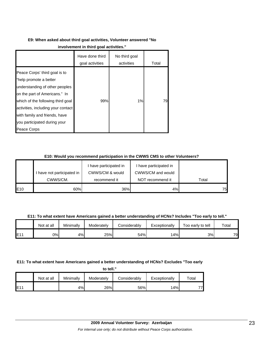# **E9: When asked about third goal activities, Volunteer answered "No**

|                                                                                                                                                                                                                                                                                       | Have done third<br>goal activities | No third goal<br>activities | Total |
|---------------------------------------------------------------------------------------------------------------------------------------------------------------------------------------------------------------------------------------------------------------------------------------|------------------------------------|-----------------------------|-------|
| Peace Corps' third goal is to<br>"help promote a better<br>understanding of other peoples<br>on the part of Americans." In<br>which of the following third goal<br>activities, including your contact<br>with family and friends, have<br>you participated during your<br>Peace Corps | 99%                                | 1%                          | 791   |

## **E10: Would you recommend participation in the CWWS CMS to other Volunteers?**

|     |                            | have participated in | I have participated in |       |
|-----|----------------------------|----------------------|------------------------|-------|
|     | I have not participated in | CWWS/CM & would      | CWWS/CM and would      |       |
|     | CWWS/CM.                   | recommend it         | NOT recommend it       | Total |
| E10 | 60%                        | 36%                  | 4%                     | 751   |

**E11: To what extent have Americans gained a better understanding of HCNs? Includes "Too early to tell."**

|      | Not at all | Minimally | Moderately | Considerably | Exceptionally | Too early to tell | Total |
|------|------------|-----------|------------|--------------|---------------|-------------------|-------|
| IE11 | 0%         | 4%        | 25%        | 54%          | 4%            | 3%                | 79    |

## **E11: To what extent have Americans gained a better understanding of HCNs? Excludes "Too early**

| to tell." |  |
|-----------|--|
|           |  |

|             | Not at all | Minimally | Moderately | Considerably | Exceptionally | $\tau$ otal |
|-------------|------------|-----------|------------|--------------|---------------|-------------|
| <b>IE11</b> |            | 4%        | 26%        | 56%          | 14%           | 77          |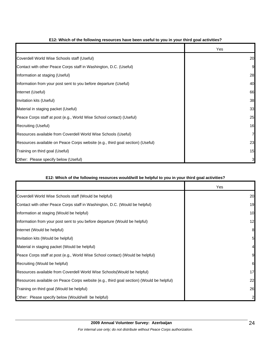|                                                                                | Yes |
|--------------------------------------------------------------------------------|-----|
| Coverdell World Wise Schools staff (Useful)                                    | 20  |
| Contact with other Peace Corps staff in Washington, D.C. (Useful)              | 9   |
| Information at staging (Useful)                                                | 28  |
| Information from your post sent to you before departure (Useful)               | 40  |
| Internet (Useful)                                                              | 66  |
| Invitation kits (Useful)                                                       | 38  |
| Material in staging packet (Useful)                                            | 33  |
| Peace Corps staff at post (e.g., World Wise School contact) (Useful)           | 25  |
| Recruiting (Useful)                                                            | 16  |
| Resources available from Coverdell World Wise Schools (Useful)                 | 7   |
| Resources available on Peace Corps website (e.g., third goal section) (Useful) | 23  |
| Training on third goal (Useful)                                                | 15  |
| Other: Please specify below (Useful)                                           | 31  |

#### **E12: Which of the following resources have been useful to you in your third goal activities?**

#### **E12: Which of the following resources would/will be helpful to you in your third goal activities?**

|                                                                                          | Yes |
|------------------------------------------------------------------------------------------|-----|
| Coverdell World Wise Schools staff (Would be helpful)                                    | 20  |
| Contact with other Peace Corps staff in Washington, D.C. (Would be helpful)              | 19  |
| Information at staging (Would be helpful)                                                | 10  |
| Information from your post sent to you before departure (Would be helpful)               | 12  |
| Internet (Would be helpful)                                                              | 8   |
| Invitation kits (Would be helpful)                                                       |     |
| Material in staging packet (Would be helpful)                                            |     |
| Peace Corps staff at post (e.g., World Wise School contact) (Would be helpful)           |     |
| Recruiting (Would be helpful)                                                            | 6   |
| Resources available from Coverdell World Wise Schools (Would be helpful)                 | 17  |
| Resources available on Peace Corps website (e.g., third goal section) (Would be helpful) | 22  |
| Training on third goal (Would be helpful)                                                | 26  |
| Other: Please specify below (Would/will be helpful)                                      |     |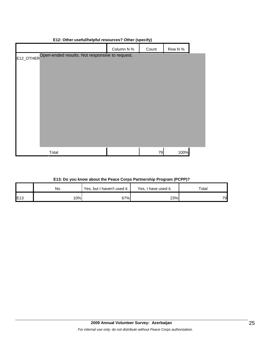| $\mathsf{L}$ . $\mathsf{L}$ . $\mathsf{L}$ . $\mathsf{L}$ . $\mathsf{L}$ . $\mathsf{L}$ . $\mathsf{L}$ . $\mathsf{L}$ . $\mathsf{L}$ . $\mathsf{L}$ . $\mathsf{L}$ . $\mathsf{L}$ . $\mathsf{L}$ . $\mathsf{L}$ . $\mathsf{L}$ . $\mathsf{L}$ . $\mathsf{L}$ . $\mathsf{L}$ . $\mathsf{L}$ . $\mathsf{L}$ . |                                                         |            |       |         |  |  |  |
|-------------------------------------------------------------------------------------------------------------------------------------------------------------------------------------------------------------------------------------------------------------------------------------------------------------|---------------------------------------------------------|------------|-------|---------|--|--|--|
|                                                                                                                                                                                                                                                                                                             |                                                         | Column N % | Count | Row N % |  |  |  |
|                                                                                                                                                                                                                                                                                                             | E12_OTHEROpen-ended results. Not responsive to request. |            |       |         |  |  |  |
|                                                                                                                                                                                                                                                                                                             |                                                         |            |       |         |  |  |  |
|                                                                                                                                                                                                                                                                                                             |                                                         |            |       |         |  |  |  |
|                                                                                                                                                                                                                                                                                                             |                                                         |            |       |         |  |  |  |
|                                                                                                                                                                                                                                                                                                             |                                                         |            |       |         |  |  |  |
|                                                                                                                                                                                                                                                                                                             |                                                         |            |       |         |  |  |  |
|                                                                                                                                                                                                                                                                                                             |                                                         |            |       |         |  |  |  |
|                                                                                                                                                                                                                                                                                                             |                                                         |            |       |         |  |  |  |
|                                                                                                                                                                                                                                                                                                             |                                                         |            |       |         |  |  |  |
|                                                                                                                                                                                                                                                                                                             |                                                         |            |       |         |  |  |  |
|                                                                                                                                                                                                                                                                                                             | Total                                                   |            | 79    | 100%    |  |  |  |
|                                                                                                                                                                                                                                                                                                             |                                                         |            |       |         |  |  |  |

#### **E12: Other useful/helpful resources? Other (specify)**

|     | No  | Yes, but I haven't used it. | Yes, I have used it. | Total |  |
|-----|-----|-----------------------------|----------------------|-------|--|
| E13 | 10% | 67%                         | 23%                  | 79    |  |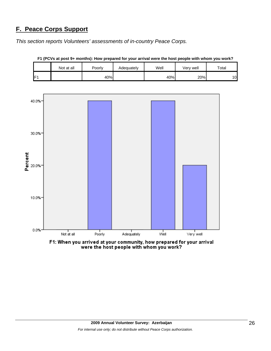# **F. Peace Corps Support**

*This section reports Volunteers' assessments of in-country Peace Corps.* 

|     | Not at all | <b>Poorly</b> | Adequately | Well | Very well | Total |
|-----|------------|---------------|------------|------|-----------|-------|
| IE4 |            | 40%           |            | 40%  | 20%       | 10    |

**F1 (PCVs at post 9+ months): How prepared for your arrival were the host people with whom you work?**



F1: When you arrived at your community, how prepared for your arrival<br>were the host people with whom you work?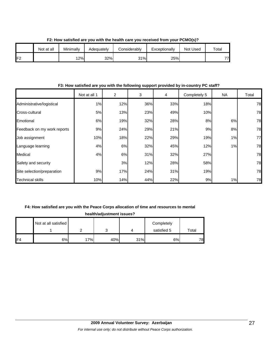|     | Not at all | Minimally | Adequatelv | Considerably | Exceptionally | Not Used | Total |
|-----|------------|-----------|------------|--------------|---------------|----------|-------|
| IF2 |            | 12%       | 32%        | 31%          | 25%           |          | 77    |

**F2: How satisfied are you with the health care you received from your PCMO(s)?**

#### **F3: How satisfied are you with the following support provided by in-country PC staff?**

|                             | Not at all 1 | $\overline{c}$ | 3   | 4   | Completely 5 | <b>NA</b> | Total |
|-----------------------------|--------------|----------------|-----|-----|--------------|-----------|-------|
| Administrative/logistical   | 1%           | 12%            | 36% | 33% | 18%          |           | 78    |
| Cross-cultural              | 5%           | 13%            | 23% | 49% | 10%          |           | 78    |
| Emotional                   | 6%           | 19%            | 32% | 28% | 8%           | 6%        | 78    |
| Feedback on my work reports | 9%           | 24%            | 29% | 21% | 9%           | 8%        | 78    |
| Job assignment              | 10%          | 18%            | 22% | 29% | 19%          | 1%        | 77    |
| Language learning           | 4%           | 6%             | 32% | 45% | 12%          | 1%        | 78    |
| Medical                     | 4%           | 6%             | 31% | 32% | 27%          |           | 78    |
| Safety and security         |              | 3%             | 12% | 28% | 58%          |           | 78    |
| Site selection/preparation  | 9%           | 17%            | 24% | 31% | 19%          |           | 78    |
| <b>Technical skills</b>     | 10%          | 14%            | 44% | 22% | 9%           | 1%        | 78    |

#### **F4: How satisfied are you with the Peace Corps allocation of time and resources to mental**

|     | health/adjustment issues? |     |     |     |             |       |  |  |  |
|-----|---------------------------|-----|-----|-----|-------------|-------|--|--|--|
|     | Not at all satisfied      |     |     |     | Completely  |       |  |  |  |
|     |                           |     |     |     | satisfied 5 | Total |  |  |  |
| IF4 | 6%                        | 17% | 40% | 31% | 6%          | 78    |  |  |  |

**health/adjustment issues?**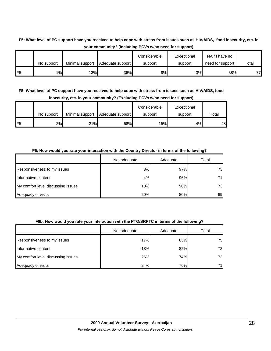# **F5: What level of PC support have you received to help cope with stress from issues such as HIV/AIDS, food insecurity, etc. in your community? (Including PCVs w/no need for support)**

|                 | No support | Minimal support | Adequate support | Considerable<br>support | Exceptional<br>support | NA/I have no<br>need for support | Total |
|-----------------|------------|-----------------|------------------|-------------------------|------------------------|----------------------------------|-------|
| IF <sub>5</sub> | $1\%$      | 13%             | 36%              | 9%                      | 3%                     | 38%                              | 77)   |

## **F5: What level of PC support have you received to help cope with stress from issues such as HIV/AIDS, food insecurity, etc. in your community? (Excluding PCVs w/no need for support)**

|                 | No support | Minimal support | Adequate support | Considerable<br>support | Exceptional<br>support | Total |
|-----------------|------------|-----------------|------------------|-------------------------|------------------------|-------|
| IF <sub>5</sub> | 2%         | 21%             | 58%              | 15%                     | 4%                     | 48    |

#### **F6: How would you rate your interaction with the Country Director in terms of the following?**

|                                    | Not adequate | Adequate | Total |
|------------------------------------|--------------|----------|-------|
| Responsiveness to my issues        | 3%           | 97%      | 73    |
| Informative content                | 4%           | 96%      | 71    |
| My comfort level discussing issues | 10%          | 90%      | 73    |
| Adequacy of visits                 | 20%          | 80%      | 69    |

#### **F6b: How would you rate your interaction with the PTO/SRPTC in terms of the following?**

|                                    | Not adequate | Adequate | Total |
|------------------------------------|--------------|----------|-------|
| Responsiveness to my issues        | 17%          | 83%      | 75    |
| Informative content                | 18%          | 82%      | 72    |
| My comfort level discussing issues | 26%          | 74%      | 73    |
| Adequacy of visits                 | 24%          | 76%      | 71    |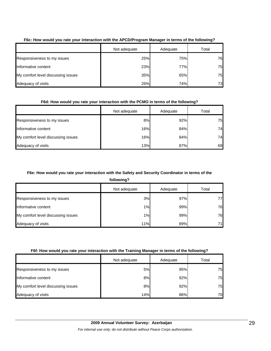|                                    | Not adequate | Adequate | Total |
|------------------------------------|--------------|----------|-------|
| Responsiveness to my issues        | 25%          | 75%      | 76    |
| Informative content                | 23%          | 77%      | 75    |
| My comfort level discussing issues | 35%          | 65%      | 75    |
| Adequacy of visits                 | 26%          | 74%      | 73    |

#### **F6c: How would you rate your interaction with the APCD/Program Manager in terms of the following?**

## **F6d: How would you rate your interaction with the PCMO in terms of the following?**

|                                    | Not adequate | Adequate | Total |
|------------------------------------|--------------|----------|-------|
| Responsiveness to my issues        | 8%           | 92%      | 75    |
| Informative content                | 16%          | 84%      | 74    |
| My comfort level discussing issues | 16%          | 84%      | 74    |
| Adequacy of visits                 | 13%          | 87%      | 69    |

#### **F6e: How would you rate your interaction with the Safety and Security Coordinator in terms of the**

**following?**

|                                    | Not adequate | Adequate | Total |
|------------------------------------|--------------|----------|-------|
| Responsiveness to my issues        | 3%           | 97%      | 77    |
| Informative content                | 1%           | 99%      | 76    |
| My comfort level discussing issues | 1%           | 99%      | 76    |
| Adequacy of visits                 | 11%          | 89%      | 71I   |

#### **F6f: How would you rate your interaction with the Training Manager in terms of the following?**

|                                    | Not adequate | Adequate | Total |
|------------------------------------|--------------|----------|-------|
| Responsiveness to my issues        | 5%           | 95%      | 75    |
| Informative content                | 8%           | 92%      | 75    |
| My comfort level discussing issues | 8%           | 92%      | 75    |
| Adequacy of visits                 | 14%          | 86%      | 70    |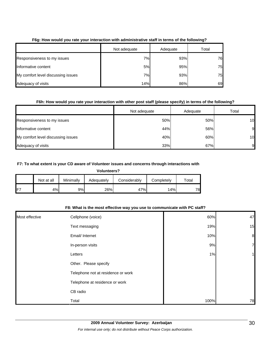|                                    | Not adequate | Adequate | Total |
|------------------------------------|--------------|----------|-------|
| Responsiveness to my issues        | 7%           | 93%      | 76    |
| Informative content                | 5%           | 95%      | 75    |
| My comfort level discussing issues | 7%           | 93%      | 75    |
| Adequacy of visits                 | 14%          | 86%      | 69    |

#### **F6g: How would you rate your interaction with administrative staff in terms of the following?**

#### **F6h: How would you rate your interaction with other post staff (please specify) in terms of the following?**

|                                    | Not adequate | Adequate | Total |
|------------------------------------|--------------|----------|-------|
| Responsiveness to my issues        | 50%          | 50%      | 10    |
| Informative content                | 44%          | 56%      | 9     |
| My comfort level discussing issues | 40%          | 60%      | 10    |
| Adequacy of visits                 | 33%          | 67%      | 91    |

#### **F7: To what extent is your CD aware of Volunteer issues and concerns through interactions with**

**Volunteers?**

|                 | Not at all | Minimally | Adequately | Considerablv | Completely | $\tau$ otal |
|-----------------|------------|-----------|------------|--------------|------------|-------------|
| IF <sup>7</sup> | 4%         | 9%l       | 26%        | 47%          | 14%        | 78          |

#### **F8: What is the most effective way you use to communicate with PC staff?**

| Most effective | Cellphone (voice)                  | 60%  | 47               |
|----------------|------------------------------------|------|------------------|
|                | Text messaging                     | 19%  | 15               |
|                | Email/ Internet                    | 10%  | $\boldsymbol{8}$ |
|                | In-person visits                   | 9%   | 7                |
|                | Letters                            | 1%   |                  |
|                | Other. Please specify              |      |                  |
|                | Telephone not at residence or work |      |                  |
|                | Telephone at residence or work     |      |                  |
|                | CB radio                           |      |                  |
|                | Total                              | 100% | 78               |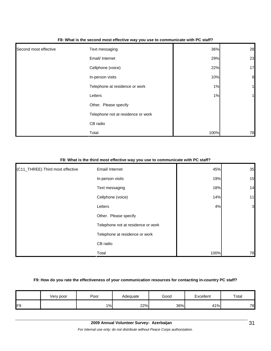|                       | - -                                |      |                  |
|-----------------------|------------------------------------|------|------------------|
| Second most effective | Text messaging                     | 36%  | 28               |
|                       | Email/ Internet                    | 29%  | 23               |
|                       | Cellphone (voice)                  | 22%  | 17               |
|                       | In-person visits                   | 10%  | $\boldsymbol{8}$ |
|                       | Telephone at residence or work     | 1%   | 1                |
|                       | Letters                            | 1%   | 1                |
|                       | Other. Please specify              |      |                  |
|                       | Telephone not at residence or work |      |                  |
|                       | CB radio                           |      |                  |
|                       | Total                              | 100% | 78               |

#### **F8: What is the second most effective way you use to communicate with PC staff?**

## **F8: What is the third most effective way you use to communicate with PC staff?**

| (C11_THREE) Third most effective | Email/ Internet                    | 45%  | 35             |
|----------------------------------|------------------------------------|------|----------------|
|                                  | In-person visits                   | 19%  | 15             |
|                                  | Text messaging                     | 18%  | 14             |
|                                  | Cellphone (voice)                  | 14%  | 11             |
|                                  | Letters                            | 4%   | $\overline{3}$ |
|                                  | Other. Please specify              |      |                |
|                                  | Telephone not at residence or work |      |                |
|                                  | Telephone at residence or work     |      |                |
|                                  | CB radio                           |      |                |
|                                  | Total                              | 100% | 78             |

#### **F9: How do you rate the effectiveness of your communication resources for contacting in-country PC staff?**

|    | Very poor | Poor  | Adequate | Good | Excellent | Total |
|----|-----------|-------|----------|------|-----------|-------|
| ΈQ |           | $1\%$ | 22%      | 36%  | 41%       | 78    |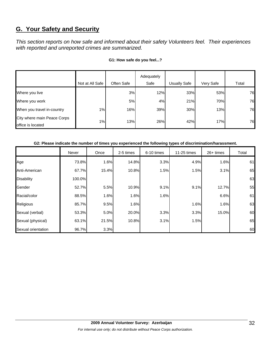# **G. Your Safety and Security**

*This section reports on how safe and informed about their safety Volunteers feel. Their experiences with reported and unreported crimes are summarized.* 

|                                                  |                 |            | Adequately |              |           |       |
|--------------------------------------------------|-----------------|------------|------------|--------------|-----------|-------|
|                                                  | Not at All Safe | Often Safe | Safe       | Usually Safe | Very Safe | Total |
| Where you live                                   |                 | 3%         | 12%        | 33%          | 53%       | 76    |
| Where you work                                   |                 | 5%         | 4%         | 21%          | 70%       | 76    |
| When you travel in-country                       | $1\%$           | 16%        | 39%        | 30%          | 13%       | 76    |
| City where main Peace Corps<br>office is located | $1\%$           | 13%        | 26%        | 42%          | 17%       | 76    |

#### **G1: How safe do you feel...?**

#### **G2: Please indicate the number of times you experienced the following types of discrimination/harassment.**

|                    | Never  | Once  | 2-5 times | 6-10 times | 11-25 times | $26+$ times | Total |
|--------------------|--------|-------|-----------|------------|-------------|-------------|-------|
| Age                | 73.8%  | 1.6%  | 14.8%     | 3.3%       | 4.9%        | 1.6%        | 61    |
| Anti-American      | 67.7%  | 15.4% | 10.8%     | 1.5%       | 1.5%        | 3.1%        | 65    |
| <b>Disability</b>  | 100.0% |       |           |            |             |             | 63    |
| Gender             | 52.7%  | 5.5%  | 10.9%     | 9.1%       | 9.1%        | 12.7%       | 55    |
| Racial/color       | 88.5%  | 1.6%  | 1.6%      | 1.6%       |             | 6.6%        | 61    |
| Religious          | 85.7%  | 9.5%  | 1.6%      |            | 1.6%        | 1.6%        | 63    |
| Sexual (verbal)    | 53.3%  | 5.0%  | 20.0%     | 3.3%       | 3.3%        | 15.0%       | 60    |
| Sexual (physical)  | 63.1%  | 21.5% | 10.8%     | 3.1%       | 1.5%        |             | 65    |
| Sexual orientation | 96.7%  | 3.3%  |           |            |             |             | 60    |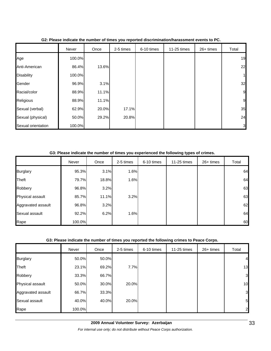|                    | Never  | Once  | 2-5 times | 6-10 times | 11-25 times | 26+ times | Total |
|--------------------|--------|-------|-----------|------------|-------------|-----------|-------|
| Age                | 100.0% |       |           |            |             |           | 19    |
| Anti-American      | 86.4%  | 13.6% |           |            |             |           | 22    |
| <b>Disability</b>  | 100.0% |       |           |            |             |           | 1     |
| Gender             | 96.9%  | 3.1%  |           |            |             |           | 32    |
| Racial/color       | 88.9%  | 11.1% |           |            |             |           | 9     |
| Religious          | 88.9%  | 11.1% |           |            |             |           | 9     |
| Sexual (verbal)    | 62.9%  | 20.0% | 17.1%     |            |             |           | 35    |
| Sexual (physical)  | 50.0%  | 29.2% | 20.8%     |            |             |           | 24    |
| Sexual orientation | 100.0% |       |           |            |             |           | 3     |

#### **G2: Please indicate the number of times you reported discrimination/harassment events to PC.**

**G3: Please indicate the number of times you experienced the following types of crimes.**

|                    | Never  | Once  | 2-5 times | 6-10 times | 11-25 times | 26+ times | Total |
|--------------------|--------|-------|-----------|------------|-------------|-----------|-------|
| <b>Burglary</b>    | 95.3%  | 3.1%  | 1.6%      |            |             |           | 64    |
| Theft              | 79.7%  | 18.8% | 1.6%      |            |             |           | 64    |
| Robbery            | 96.8%  | 3.2%  |           |            |             |           | 63    |
| Physical assault   | 85.7%  | 11.1% | 3.2%      |            |             |           | 63    |
| Aggravated assault | 96.8%  | 3.2%  |           |            |             |           | 62    |
| Sexual assault     | 92.2%  | 6.2%  | 1.6%      |            |             |           | 64    |
| Rape               | 100.0% |       |           |            |             |           | 60    |

#### **G3: Please indicate the number of times you reported the following crimes to Peace Corps.**

|                    | Never  | Once  | 2-5 times | 6-10 times | 11-25 times | 26+ times | Total          |
|--------------------|--------|-------|-----------|------------|-------------|-----------|----------------|
| <b>Burglary</b>    | 50.0%  | 50.0% |           |            |             |           | $\overline{4}$ |
| Theft              | 23.1%  | 69.2% | 7.7%      |            |             |           | 13             |
| Robbery            | 33.3%  | 66.7% |           |            |             |           | 3              |
| Physical assault   | 50.0%  | 30.0% | 20.0%     |            |             |           | 10             |
| Aggravated assault | 66.7%  | 33.3% |           |            |             |           | 3              |
| Sexual assault     | 40.0%  | 40.0% | 20.0%     |            |             |           | 5              |
| Rape               | 100.0% |       |           |            |             |           | $\overline{2}$ |

*For internal use only; do not distribute without Peace Corps authorization.*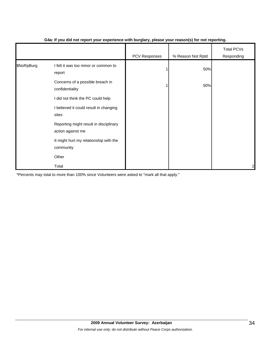|            |                                                             | PCV Responses | % Reason Not Rptd | <b>Total PCVs</b><br>Responding |
|------------|-------------------------------------------------------------|---------------|-------------------|---------------------------------|
| \$NoRpBurg | I felt it was too minor or common to<br>report              |               | 50%               |                                 |
|            | Concerns of a possible breach in<br>confidentiality         |               | 50%               |                                 |
|            | I did not think the PC could help                           |               |                   |                                 |
|            | I believed it could result in changing<br>sites             |               |                   |                                 |
|            | Reporting might result in disciplinary<br>action against me |               |                   |                                 |
|            | It might hurt my relationship with the<br>community         |               |                   |                                 |
|            | Other                                                       |               |                   |                                 |
|            | Total                                                       |               |                   | $\overline{\mathbf{c}}$         |

#### **G4a: If you did not report your experience with burglary, please your reason(s) for not reporting.**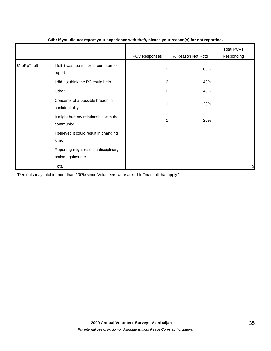|             |                                                             | . .           | $\cdot$ $\cdot$   |                                 |
|-------------|-------------------------------------------------------------|---------------|-------------------|---------------------------------|
|             |                                                             | PCV Responses | % Reason Not Rptd | <b>Total PCVs</b><br>Responding |
| \$NoRpTheft | I felt it was too minor or common to<br>report              | 3             | 60%               |                                 |
|             | I did not think the PC could help                           | 2             | 40%               |                                 |
|             | Other                                                       | 2             | 40%               |                                 |
|             | Concerns of a possible breach in<br>confidentiality         |               | 20%               |                                 |
|             | It might hurt my relationship with the<br>community         |               | 20%               |                                 |
|             | I believed it could result in changing<br>sites             |               |                   |                                 |
|             | Reporting might result in disciplinary<br>action against me |               |                   |                                 |
|             | Total                                                       |               |                   | 5                               |

#### **G4b: If you did not report your experience with theft, please your reason(s) for not reporting.**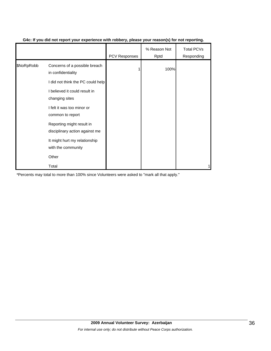|            |                                                             | <b>PCV Responses</b> | % Reason Not<br>Rptd | <b>Total PCVs</b><br>Responding |
|------------|-------------------------------------------------------------|----------------------|----------------------|---------------------------------|
| \$NoRpRobb | Concerns of a possible breach<br>in confidentiality         |                      | 100%                 |                                 |
|            | I did not think the PC could help                           |                      |                      |                                 |
|            | I believed it could result in<br>changing sites             |                      |                      |                                 |
|            | I felt it was too minor or<br>common to report              |                      |                      |                                 |
|            | Reporting might result in<br>disciplinary action against me |                      |                      |                                 |
|            | It might hurt my relationship<br>with the community         |                      |                      |                                 |
|            | Other                                                       |                      |                      |                                 |
|            | Total                                                       |                      |                      |                                 |

#### **G4c: If you did not report your experience with robbery, please your reason(s) for not reporting.**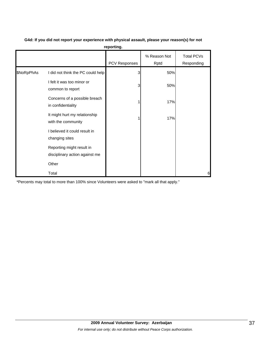|            |                                                             | PCV Responses | % Reason Not<br>Rptd | <b>Total PCVs</b><br>Responding |
|------------|-------------------------------------------------------------|---------------|----------------------|---------------------------------|
| \$NoRpPhAs | I did not think the PC could help                           | 3             | 50%                  |                                 |
|            | I felt it was too minor or<br>common to report              | 3             | 50%                  |                                 |
|            | Concerns of a possible breach<br>in confidentiality         |               | 17%                  |                                 |
|            | It might hurt my relationship<br>with the community         |               | 17%                  |                                 |
|            | I believed it could result in<br>changing sites             |               |                      |                                 |
|            | Reporting might result in<br>disciplinary action against me |               |                      |                                 |
|            | Other                                                       |               |                      |                                 |
|            | Total                                                       |               |                      | 6                               |

**G4d: If you did not report your experience with physical assault, please your reason(s) for not reporting.**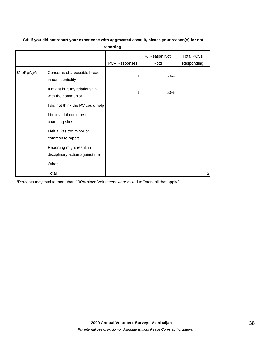| G4: If you did not report your experience with aggravated assault, please your reason(s) for not |  |  |
|--------------------------------------------------------------------------------------------------|--|--|
|                                                                                                  |  |  |

|            |                                                             | <b>PCV Responses</b> | % Reason Not<br>Rptd | Total PCVs<br>Responding |
|------------|-------------------------------------------------------------|----------------------|----------------------|--------------------------|
| \$NoRpAgAs | Concerns of a possible breach<br>in confidentiality         |                      | 50%                  |                          |
|            | It might hurt my relationship<br>with the community         |                      | 50%                  |                          |
|            | I did not think the PC could help                           |                      |                      |                          |
|            | I believed it could result in<br>changing sites             |                      |                      |                          |
|            | I felt it was too minor or<br>common to report              |                      |                      |                          |
|            | Reporting might result in<br>disciplinary action against me |                      |                      |                          |
|            | Other                                                       |                      |                      |                          |
|            | Total                                                       |                      |                      | 2                        |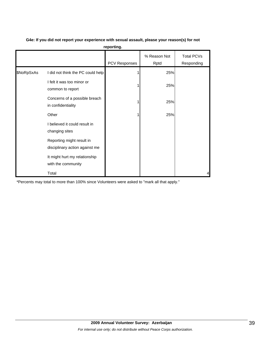| reporting. |                                                             |               |                      |                          |  |  |  |
|------------|-------------------------------------------------------------|---------------|----------------------|--------------------------|--|--|--|
|            |                                                             | PCV Responses | % Reason Not<br>Rptd | Total PCVs<br>Responding |  |  |  |
| \$NoRpSxAs | I did not think the PC could help                           |               | 25%                  |                          |  |  |  |
|            | I felt it was too minor or<br>common to report              |               | 25%                  |                          |  |  |  |
|            | Concerns of a possible breach<br>in confidentiality         |               | 25%                  |                          |  |  |  |
|            | Other                                                       |               | 25%                  |                          |  |  |  |
|            | I believed it could result in<br>changing sites             |               |                      |                          |  |  |  |
|            | Reporting might result in<br>disciplinary action against me |               |                      |                          |  |  |  |
|            | It might hurt my relationship<br>with the community         |               |                      |                          |  |  |  |
|            | Total                                                       |               |                      | 4                        |  |  |  |

# **G4e: If you did not report your experience with sexual assault, please your reason(s) for not**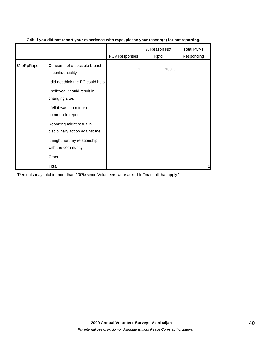|            |                                                             | <b>PCV Responses</b> | % Reason Not<br>Rptd | <b>Total PCVs</b><br>Responding |
|------------|-------------------------------------------------------------|----------------------|----------------------|---------------------------------|
| \$NoRpRape | Concerns of a possible breach<br>in confidentiality         |                      | 100%                 |                                 |
|            | I did not think the PC could help                           |                      |                      |                                 |
|            | I believed it could result in<br>changing sites             |                      |                      |                                 |
|            | I felt it was too minor or<br>common to report              |                      |                      |                                 |
|            | Reporting might result in<br>disciplinary action against me |                      |                      |                                 |
|            | It might hurt my relationship<br>with the community         |                      |                      |                                 |
|            | Other                                                       |                      |                      |                                 |
|            | Total                                                       |                      |                      |                                 |

#### **G4f: If you did not report your experience with rape, please your reason(s) for not reporting.**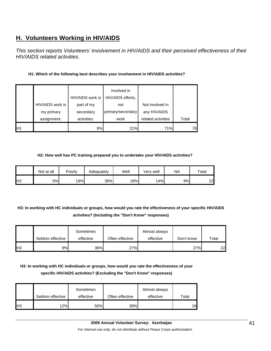# **H. Volunteers Working in HIV/AIDS**

*This section reports Volunteers' involvement in HIV/AIDS and their perceived effectiveness of their HIV/AIDS related activities.* 

## **H1: Which of the following best describes your involvement in HIV/AIDS activities?**

|                 |                  |                  | Involved in       |                    |       |
|-----------------|------------------|------------------|-------------------|--------------------|-------|
|                 |                  | HIV/AIDS work is | HIV/AIDS efforts, |                    |       |
|                 | HIV/AIDS work is | part of my       | not               | Not involved in    |       |
|                 | my primary       | secondary        | primary/secondary | any HIV/AIDS       |       |
|                 | assignment.      | activities.      | work              | related activities | Total |
| IH <sub>1</sub> |                  | 8%               | 21%               | 71%                | 76    |

#### **H2: How well has PC training prepared you to undertake your HIV/AIDS activities?**

|                | Not at all | Poorly | Adequately | Well | Very well | NA | Total |
|----------------|------------|--------|------------|------|-----------|----|-------|
| H <sub>2</sub> | 5%         | 18%    | 36%        | 18%  | 14%       | 9% | 22    |

# **H3: In working with HC individuals or groups, how would you rate the effectiveness of your specific HIV/AIDS activities? (Including the "Don't Know" responses)**

|     | Seldom effective | Sometimes<br>effective | Often effective | Almost always<br>effective | Don't know | Total |
|-----|------------------|------------------------|-----------------|----------------------------|------------|-------|
| Iнз | 9%I              | 36%                    | 27%             |                            | 27%        | 22    |

# **H3: In working with HC individuals or groups, how would you rate the effectiveness of your specific HIV/AIDS activities? (Excluding the "Don't Know" responses)**

|                | Seldom effective | Sometimes<br>effective | Often effective | Almost always<br>effective | Total |
|----------------|------------------|------------------------|-----------------|----------------------------|-------|
| H <sub>3</sub> | 12%              | 50%                    | 38%             |                            | 16    |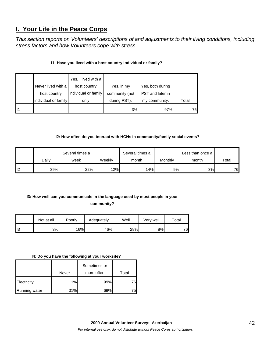# **I. Your Life in the Peace Corps**

*This section reports on Volunteers' descriptions of and adjustments to their living conditions, including stress factors and how Volunteers cope with stress.* 

## **I1: Have you lived with a host country individual or family?**

|                | Never lived with a   | Yes, I lived with a<br>host country | Yes, in my     | Yes, both during |       |
|----------------|----------------------|-------------------------------------|----------------|------------------|-------|
|                | host country         | individual or family                | community (not | PST and later in |       |
|                | individual or family | only                                | during PST).   | my community.    | Total |
| $\blacksquare$ |                      |                                     | 3%             | 97%              | 75    |

#### **I2: How often do you interact with HCNs in community/family social events?**

|    |       | Several times a |        | Several times a |         | Less than once a |       |
|----|-------|-----------------|--------|-----------------|---------|------------------|-------|
|    | Dailv | week            | Weekly | month           | Monthly | month            | Total |
| I2 | 39%   | 22%             | 12%    | 14%             | 9%      | 3%               | 76    |

# **I3: How well can you communicate in the language used by most people in your**

**community?** 

|                 | Not at all | Poorly | Adequately | Well | Verv well | Total |
|-----------------|------------|--------|------------|------|-----------|-------|
| $\mathbf{II}$ 3 | 3%         | 16%    | 46%        | 28%  | 8%        | 76    |

#### **I4: Do you have the following at your worksite?**

|                      |       | Sometimes or |       |
|----------------------|-------|--------------|-------|
|                      | Never | more often   | Total |
| Electricity          | 1%    | 99%          | 76    |
| <b>Running water</b> | 31%   | 69%          |       |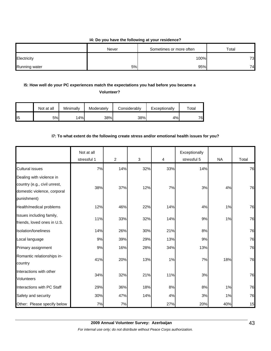#### **I4: Do you have the following at your residence?**

|               | Never | Sometimes or more often | Total |
|---------------|-------|-------------------------|-------|
| Electricity   |       | 100%                    | 73    |
| Running water | 5%    | 95%                     | 74.   |

## **I5: How well do your PC experiences match the expectations you had before you became a**

**Volunteer?** 

|                 | Not at all | Minimallv | Moderately | Considerably | Exceptionally | $\tau$ otal |
|-----------------|------------|-----------|------------|--------------|---------------|-------------|
| II <sub>5</sub> | 5%         | 14%       | 38%        | 38%          | 4%            | 76          |

#### **I7: To what extent do the following create stress and/or emotional health issues for you?**

|                                                                                                        | Not at all<br>stressful 1 | $\overline{2}$ | 3   | 4   | Exceptionally<br>stressful 5 | <b>NA</b> | Total |
|--------------------------------------------------------------------------------------------------------|---------------------------|----------------|-----|-----|------------------------------|-----------|-------|
| <b>Cultural issues</b>                                                                                 | 7%                        | 14%            | 32% | 33% | 14%                          |           | 76    |
| Dealing with violence in<br>country (e.g., civil unrest,<br>domestic violence, corporal<br>punishment) | 38%                       | 37%            | 12% | 7%  | 3%                           | 4%        | 76    |
| Health/medical problems                                                                                | 12%                       | 46%            | 22% | 14% | 4%                           | 1%        | 76    |
| Issues including family,<br>friends, loved ones in U.S.                                                | 11%                       | 33%            | 32% | 14% | 9%                           | 1%        | 76    |
| Isolation/loneliness                                                                                   | 14%                       | 26%            | 30% | 21% | 8%                           |           | 76    |
| Local language                                                                                         | 9%                        | 39%            | 29% | 13% | 9%                           |           | 76    |
| Primary assignment                                                                                     | 9%                        | 16%            | 28% | 34% | 13%                          |           | 76    |
| Romantic relationships in-<br>country                                                                  | 41%                       | 20%            | 13% | 1%  | 7%                           | 18%       | 76    |
| Interactions with other<br><b>Volunteers</b>                                                           | 34%                       | 32%            | 21% | 11% | 3%                           |           | 76    |
| Interactions with PC Staff                                                                             | 29%                       | 36%            | 18% | 8%  | 8%                           | 1%        | 76    |
| Safety and security                                                                                    | 30%                       | 47%            | 14% | 4%  | 3%                           | 1%        | 76    |
| Other: Please specify below                                                                            | 7%                        | 7%             |     | 27% | 20%                          | 40%       | 15    |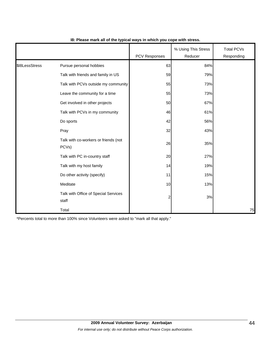|                |                                                            | <b>PCV Responses</b>    | % Using This Stress<br>Reducer | <b>Total PCVs</b><br>Responding |
|----------------|------------------------------------------------------------|-------------------------|--------------------------------|---------------------------------|
| \$18LessStress | Pursue personal hobbies                                    | 63                      | 84%                            |                                 |
|                | Talk with friends and family in US                         | 59                      | 79%                            |                                 |
|                | Talk with PCVs outside my community                        | 55                      | 73%                            |                                 |
|                | Leave the community for a time                             | 55                      | 73%                            |                                 |
|                | Get involved in other projects                             | 50                      | 67%                            |                                 |
|                | Talk with PCVs in my community                             | 46                      | 61%                            |                                 |
|                | Do sports                                                  | 42                      | 56%                            |                                 |
|                | Pray                                                       | 32                      | 43%                            |                                 |
|                | Talk with co-workers or friends (not<br>PCV <sub>s</sub> ) | 26                      | 35%                            |                                 |
|                | Talk with PC in-country staff                              | 20                      | 27%                            |                                 |
|                | Talk with my host family                                   | 14                      | 19%                            |                                 |
|                | Do other activity (specify)                                | 11                      | 15%                            |                                 |
|                | Meditate                                                   | 10                      | 13%                            |                                 |
|                | Talk with Office of Special Services<br>staff              | $\overline{\mathbf{c}}$ | 3%                             |                                 |
|                | Total                                                      |                         |                                | 75                              |

#### **I8: Please mark all of the typical ways in which you cope with stress.**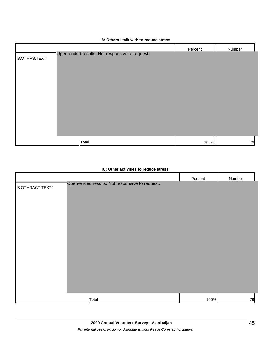# **I8: Others I talk with to reduce stress** Percent Number I8.OTHRS.TEXT Total 100% 79 Open-ended results. Not responsive to request.

## **I8: Other activities to reduce stress**

|                  |                                                | Percent | Number |
|------------------|------------------------------------------------|---------|--------|
| 18.OTHRACT.TEXT2 | Open-ended results. Not responsive to request. |         |        |
|                  |                                                |         |        |
|                  |                                                |         |        |
|                  |                                                |         |        |
|                  |                                                |         |        |
|                  |                                                |         |        |
|                  |                                                |         |        |
|                  |                                                |         |        |
|                  |                                                |         |        |
|                  |                                                |         |        |
|                  |                                                |         |        |
|                  | Total                                          | 100%    | 79     |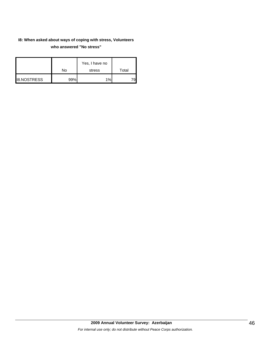# **I8: When asked about ways of coping with stress, Volunteers who answered "No stress"**

|                    | No  | Yes, I have no<br>stress | Total |
|--------------------|-----|--------------------------|-------|
| <b>I8.NOSTRESS</b> | 99% | 1%                       |       |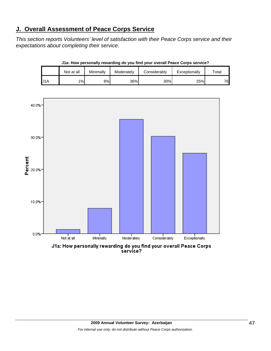# **J. Overall Assessment of Peace Corps Service**

*This section reports Volunteers' level of satisfaction with their Peace Corps service and their expectations about completing their service.* 

|     | Not at all | Minimally | Moderately | Considerably | Exceptionally | Total |
|-----|------------|-----------|------------|--------------|---------------|-------|
| U1A | 1%         | 8%        | 36%        | 30%          | 25%           | 76    |

**J1a: How personally rewarding do you find your overall Peace Corps service?**



service?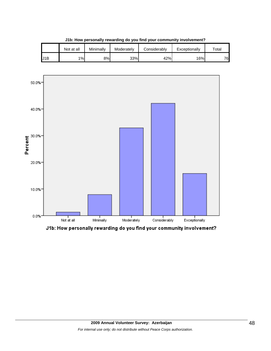|     | Not at all | Minimallv | Moderately | Considerablv | Exceptionally | $\tau$ otal |
|-----|------------|-----------|------------|--------------|---------------|-------------|
| J1B | $1\%$      | 8%l       | 33%        | 42%          | 16%           | 76          |

**J1b: How personally rewarding do you find your community involvement?**



J1b: How personally rewarding do you find your community involvement?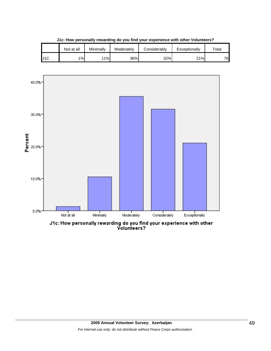|     | Not at all | Minimallv | Moderately | Considerablv | Exceptionally | $\tau$ otal |
|-----|------------|-----------|------------|--------------|---------------|-------------|
| J1C | 1%         | 11%       | 36%        | 32%          | 21%           | 76          |

**J1c: How personally rewarding do you find your experience with other Volunteers?**



J1c: How personally rewarding do you find your experience with other<br>Volunteers?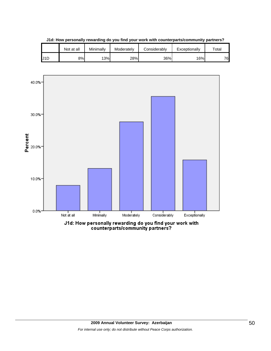|                  | Not at all | Minimally | Moderately | Considerablv | Exceptionally | $\tau$ otal |
|------------------|------------|-----------|------------|--------------|---------------|-------------|
| U <sub>1</sub> D | 8%l        | 13%       | 28%        | 36%          | 16%           | 76          |

**J1d: How personally rewarding do you find your work with counterparts/community partners?**

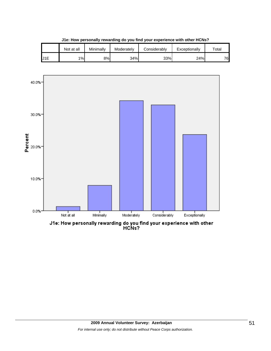|                 | Not at all | Minimally | Moderately | Considerably | Exceptionally | $\tau$ otal |
|-----------------|------------|-----------|------------|--------------|---------------|-------------|
| J <sub>1E</sub> | 1%         | 8%l       | 34%        | 33%          | 24%           | 76          |

**J1e: How personally rewarding do you find your experience with other HCNs?**



J1e: How personally rewarding do you find your experience with other<br>HCNs?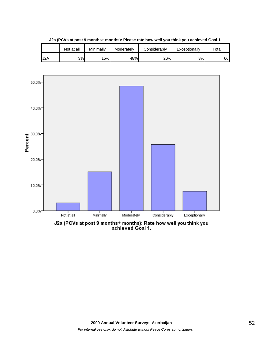|                  | Not at all | Minimally | Moderately | Considerably | Exceptionally | $\tau$ otai |
|------------------|------------|-----------|------------|--------------|---------------|-------------|
| J <sub>2</sub> A | 3%         | 15%       | 48%        | 26%          | 8%            | 66          |

**J2a (PCVs at post 9 months+ months): Please rate how well you think you achieved Goal 1.**



J2a (PCVs at post 9 months+ months): Rate how well you think you<br>achieved Goal 1.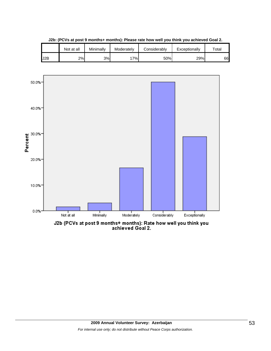

**J2b: (PCVs at post 9 months+ months): Please rate how well you think you achieved Goal 2.**

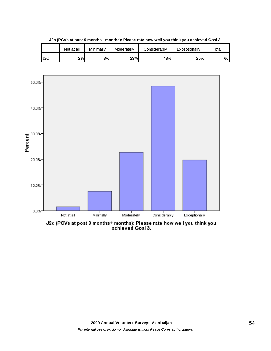|     | Not at all | Minimallv | Moderately | Considerably | Exceptionally | $\tau$ otai |
|-----|------------|-----------|------------|--------------|---------------|-------------|
| J2C | 2%         | 8%l       | 23%        | 48%          | 20%           | 66          |

**J2c (PCVs at post 9 months+ months): Please rate how well you think you achieved Goal 3.**



J2c (PCVs at post 9 months+ months): Please rate how well you think you<br>achieved Goal 3.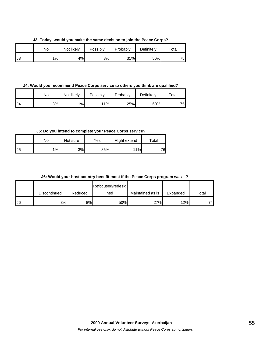**J3: Today, would you make the same decision to join the Peace Corps?**

|    | No | Not likely | Possibly | Probably | Definitely | $\tau$ otal |
|----|----|------------|----------|----------|------------|-------------|
| J3 | 1% | 4%         | 8%       | 31%      | 56%        | 75          |

**J4: Would you recommend Peace Corps service to others you think are qualified?**

|     | No | Not likely | Possibly | Probably | Definitely | $\tau$ otal |
|-----|----|------------|----------|----------|------------|-------------|
| IJ4 | 3% | 1%         | 11%      | 25%      | 60%        | 75          |

**J5: Do you intend to complete your Peace Corps service?**

|     | No | Not sure | Yes | Might extend | Total |
|-----|----|----------|-----|--------------|-------|
| IJ5 | 1% | 3%       | 86% | 11%          | 76    |

**J6: Would your host country benefit most if the Peace Corps program was---?**

|     |              |         | Refocused/redesig |                  |          |       |
|-----|--------------|---------|-------------------|------------------|----------|-------|
|     | Discontinued | Reduced | ned               | Maintained as is | Expanded | Total |
| IJ6 | 3%           | 8%      | 50%               | 27%              | 12%      | 74    |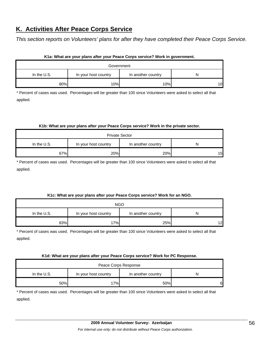# **K. Activities After Peace Corps Service**

*This section reports on Volunteers' plans for after they have completed their Peace Corps Service.* 

| K1a: What are your plans after your Peace Corps service? Work in government. |                      |                    |    |  |  |  |
|------------------------------------------------------------------------------|----------------------|--------------------|----|--|--|--|
| Government                                                                   |                      |                    |    |  |  |  |
| In the $U.S.$                                                                | In your host country | In another country |    |  |  |  |
| 80%                                                                          | 10%                  | 10%                | 10 |  |  |  |

\* Percent of cases was used. Percentages will be greater than 100 since Volunteers were asked to select all that applied.

#### **K1b: What are your plans after your Peace Corps service? Work in the private sector.**

| <b>Private Sector</b> |                      |                    |    |  |  |  |
|-----------------------|----------------------|--------------------|----|--|--|--|
| In the U.S.           | In your host country | In another country |    |  |  |  |
| 67%                   | 20%                  | 20%                | 15 |  |  |  |

\* Percent of cases was used. Percentages will be greater than 100 since Volunteers were asked to select all that applied.

#### **K1c: What are your plans after your Peace Corps service? Work for an NGO.**

| <b>NGO</b>    |                      |                    |    |  |  |  |
|---------------|----------------------|--------------------|----|--|--|--|
| In the $U.S.$ | In your host country | In another country | N  |  |  |  |
| 83%           | 17%                  | 25%                | 12 |  |  |  |

\* Percent of cases was used. Percentages will be greater than 100 since Volunteers were asked to select all that applied.

#### **K1d: What are your plans after your Peace Corps service? Work for PC Response.**

| Peace Corps Response |                      |                    |    |  |  |  |
|----------------------|----------------------|--------------------|----|--|--|--|
| In the U.S.          | In your host country | In another country |    |  |  |  |
| 50%                  | 7%                   | 50%                | 61 |  |  |  |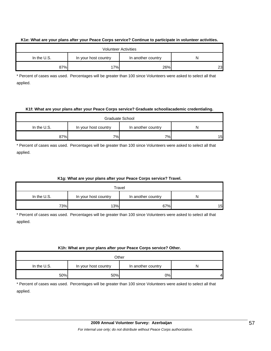#### **K1e: What are your plans after your Peace Corps service? Continue to participate in volunteer activities.**

| <b>Volunteer Activities</b> |                      |                    |    |  |  |  |
|-----------------------------|----------------------|--------------------|----|--|--|--|
| In the $U.S.$               | In your host country | In another country | N  |  |  |  |
| 87%                         | 17%                  | 26%                | 23 |  |  |  |

\* Percent of cases was used. Percentages will be greater than 100 since Volunteers were asked to select all that applied.

#### **K1f: What are your plans after your Peace Corps service? Graduate school/academic credentialing.**

| Graduate School |                                            |    |    |  |
|-----------------|--------------------------------------------|----|----|--|
| In the U.S.     | In another country<br>In your host country |    |    |  |
| 87%             | 7%                                         | 7% | 15 |  |

\* Percent of cases was used. Percentages will be greater than 100 since Volunteers were asked to select all that applied.

#### **K1g: What are your plans after your Peace Corps service? Travel.**

| Travel      |                      |                    |    |
|-------------|----------------------|--------------------|----|
| In the U.S. | In your host country | In another country |    |
| 73%         | 13%                  | 67%                | 15 |

\* Percent of cases was used. Percentages will be greater than 100 since Volunteers were asked to select all that applied.

#### **K1h: What are your plans after your Peace Corps service? Other.**

| Other         |                      |                    |   |
|---------------|----------------------|--------------------|---|
| In the $U.S.$ | In your host country | In another country | N |
| 50%           | 50%                  | 0%                 | 4 |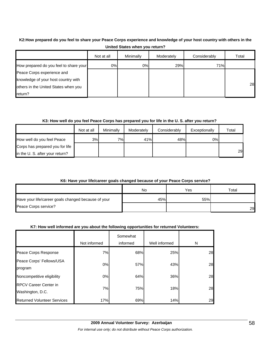# **K2:How prepared do you feel to share your Peace Corps experience and knowledge of your host country with others in the United States when you return?**

|                                        | Not at all | Minimally | Moderately | Considerably | Total |
|----------------------------------------|------------|-----------|------------|--------------|-------|
| How prepared do you feel to share your | 0%         | 0%        | 29%        | 71%          |       |
| Peace Corps experience and             |            |           |            |              |       |
| knowledge of your host country with    |            |           |            |              |       |
| others in the United States when you   |            |           |            |              | 28    |
| return?                                |            |           |            |              |       |

#### **K3: How well do you feel Peace Corps has prepared you for life in the U. S. after you return?**

|                                 | Not at all | Minimally | Moderately | Considerably | Exceptionally | Total |
|---------------------------------|------------|-----------|------------|--------------|---------------|-------|
| How well do you feel Peace      | 3%         | 7%        | 41%        | 48%          | 0%            |       |
| Corps has prepared you for life |            |           |            |              |               |       |
| in the U. S. after your return? |            |           |            |              |               | 29    |

#### **K6: Have your life/career goals changed because of your Peace Corps service?**

|                                                     | No  | Yes | Total |
|-----------------------------------------------------|-----|-----|-------|
| Have your life/career goals changed because of your | 45% | 55% |       |
| Peace Corps service?                                |     |     | 29    |

#### **K7: How well informed are you about the following opportunities for returned Volunteers:**

|                                    |              | Somewhat |               |    |
|------------------------------------|--------------|----------|---------------|----|
|                                    | Not informed | informed | Well informed | N  |
| Peace Corps Response               | 7%           | 68%      | 25%           | 28 |
| Peace Corps' Fellows/USA           | $0\%$        | 57%      | 43%           | 28 |
| program                            |              |          |               |    |
| Noncompetitive eligibility         | 0%           | 64%      | 36%           | 28 |
| <b>RPCV Career Center in</b>       | 7%           | 75%      | 18%           | 28 |
| Washington, D.C.                   |              |          |               |    |
| <b>Returned Volunteer Services</b> | 17%          | 69%      | 14%           | 29 |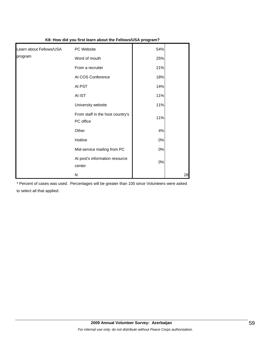| Learn about Fellows/USA | PC Website                                    | 54%   |    |
|-------------------------|-----------------------------------------------|-------|----|
| program                 | Word of mouth                                 | 25%   |    |
|                         | From a recruiter                              | 21%   |    |
|                         | At COS Conference                             | 18%   |    |
|                         | At PST                                        | 14%   |    |
|                         | At IST                                        | 11%   |    |
|                         | University website                            | 11%   |    |
|                         | From staff in the host country's<br>PC office | 11%   |    |
|                         | Other                                         | 4%    |    |
|                         | Hotline                                       | $0\%$ |    |
|                         | Mid-service mailing from PC                   | $0\%$ |    |
|                         | At post's information resource<br>center      | $0\%$ |    |
|                         | N                                             |       | 28 |

**K8: How did you first learn about the Fellows/USA program?**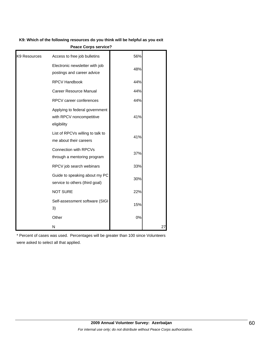#### **K9: Which of the following resources do you think will be helpful as you exit**

|              | K9: Which of the following resources do you think will be helpful as you exit<br><b>Peace Corps service?</b> |     |    |  |  |
|--------------|--------------------------------------------------------------------------------------------------------------|-----|----|--|--|
| K9 Resources | Access to free job bulletins                                                                                 | 56% |    |  |  |
|              | Electronic newsletter with job<br>postings and career advice                                                 | 48% |    |  |  |
|              | <b>RPCV Handbook</b>                                                                                         | 44% |    |  |  |
|              | <b>Career Resource Manual</b>                                                                                | 44% |    |  |  |
|              | <b>RPCV</b> career conferences                                                                               | 44% |    |  |  |
|              | Applying to federal government<br>with RPCV noncompetitive<br>eligibility                                    | 41% |    |  |  |
|              | List of RPCVs willing to talk to<br>me about their careers                                                   | 41% |    |  |  |
|              | Connection with RPCVs<br>through a mentoring program                                                         | 37% |    |  |  |
|              | RPCV job search webinars                                                                                     | 33% |    |  |  |
|              | Guide to speaking about my PC<br>service to others (third goal)                                              | 30% |    |  |  |
|              | <b>NOT SURE</b>                                                                                              | 22% |    |  |  |
|              | Self-assessment software (SIGI<br>3)                                                                         | 15% |    |  |  |
|              | Other                                                                                                        | 0%  |    |  |  |
|              | N                                                                                                            |     | 27 |  |  |